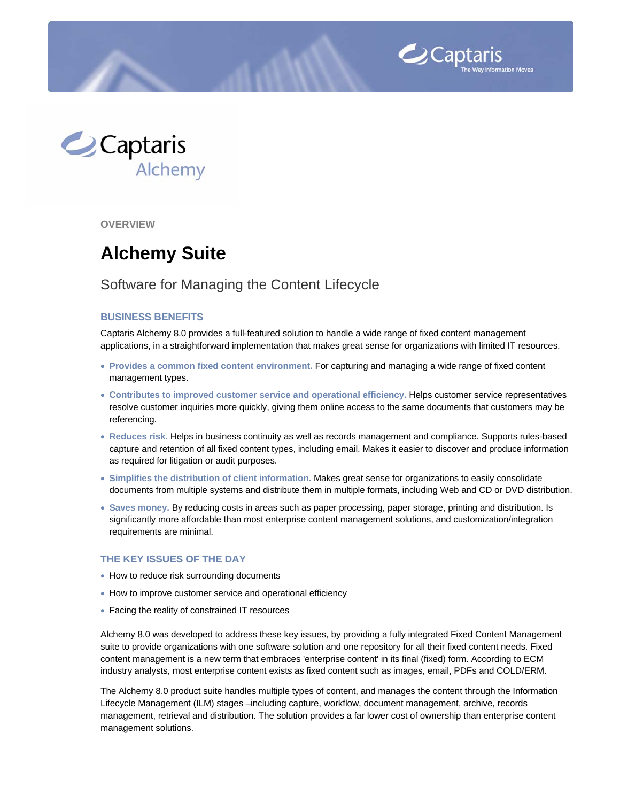



**OVERVIEW** 

# **Alchemy Suite**

# Software for Managing the Content Lifecycle

### **BUSINESS BENEFITS**

Captaris Alchemy 8.0 provides a full-featured solution to handle a wide range of fixed content management applications, in a straightforward implementation that makes great sense for organizations with limited IT resources.

- **Provides a common fixed content environment.** For capturing and managing a wide range of fixed content management types.
- **Contributes to improved customer service and operational efficiency.** Helps customer service representatives resolve customer inquiries more quickly, giving them online access to the same documents that customers may be referencing.
- **Reduces risk.** Helps in business continuity as well as records management and compliance. Supports rules-based capture and retention of all fixed content types, including email. Makes it easier to discover and produce information as required for litigation or audit purposes.
- **Simplifies the distribution of client information.** Makes great sense for organizations to easily consolidate documents from multiple systems and distribute them in multiple formats, including Web and CD or DVD distribution.
- **Saves money.** By reducing costs in areas such as paper processing, paper storage, printing and distribution. Is significantly more affordable than most enterprise content management solutions, and customization/integration requirements are minimal.

#### **THE KEY ISSUES OF THE DAY**

- How to reduce risk surrounding documents
- How to improve customer service and operational efficiency
- Facing the reality of constrained IT resources

Alchemy 8.0 was developed to address these key issues, by providing a fully integrated Fixed Content Management suite to provide organizations with one software solution and one repository for all their fixed content needs. Fixed content management is a new term that embraces 'enterprise content' in its final (fixed) form. According to ECM industry analysts, most enterprise content exists as fixed content such as images, email, PDFs and COLD/ERM.

The Alchemy 8.0 product suite handles multiple types of content, and manages the content through the Information Lifecycle Management (ILM) stages –including capture, workflow, document management, archive, records management, retrieval and distribution. The solution provides a far lower cost of ownership than enterprise content management solutions.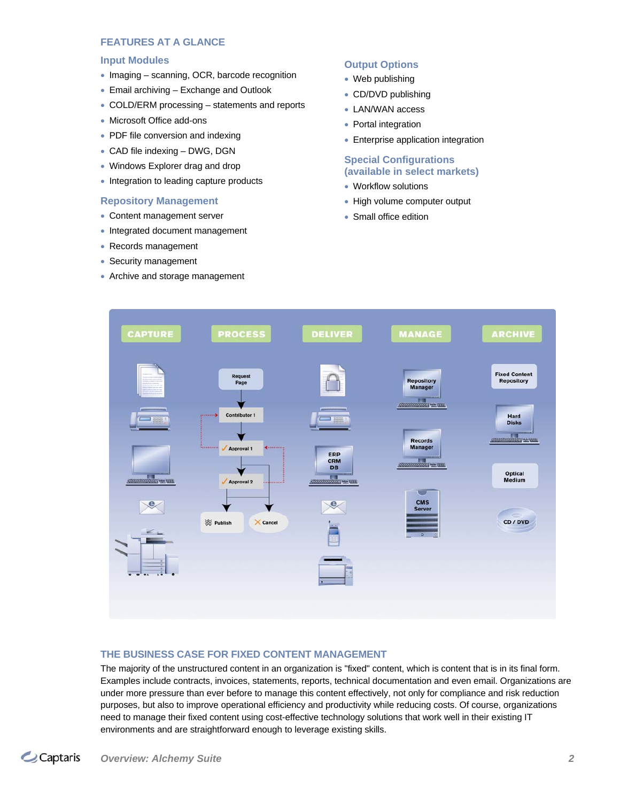### **FEATURES AT A GLANCE**

#### **Input Modules**

- Imaging scanning, OCR, barcode recognition
- Email archiving Exchange and Outlook
- COLD/ERM processing statements and reports
- Microsoft Office add-ons
- PDF file conversion and indexing
- CAD file indexing DWG, DGN
- Windows Explorer drag and drop
- Integration to leading capture products

#### **Repository Management**

- Content management server
- Integrated document management
- Records management
- Security management
- Archive and storage management

### **Output Options**

- Web publishing
- CD/DVD publishing
- LAN/WAN access
- Portal integration
- Enterprise application integration

## **Special Configurations (available in select markets)**

- Workflow solutions
- High volume computer output
- Small office edition



#### **THE BUSINESS CASE FOR FIXED CONTENT MANAGEMENT**

The majority of the unstructured content in an organization is "fixed" content, which is content that is in its final form. Examples include contracts, invoices, statements, reports, technical documentation and even email. Organizations are under more pressure than ever before to manage this content effectively, not only for compliance and risk reduction purposes, but also to improve operational efficiency and productivity while reducing costs. Of course, organizations need to manage their fixed content using cost-effective technology solutions that work well in their existing IT environments and are straightforward enough to leverage existing skills.